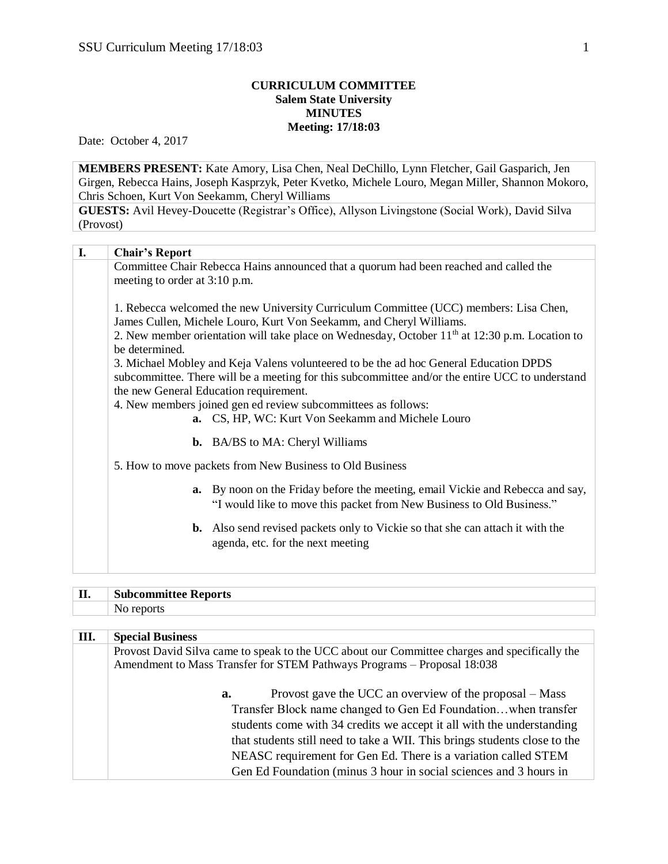## **CURRICULUM COMMITTEE Salem State University MINUTES Meeting: 17/18:03**

Date: October 4, 2017

(Provost)

**MEMBERS PRESENT:** Kate Amory, Lisa Chen, Neal DeChillo, Lynn Fletcher, Gail Gasparich, Jen Girgen, Rebecca Hains, Joseph Kasprzyk, Peter Kvetko, Michele Louro, Megan Miller, Shannon Mokoro, Chris Schoen, Kurt Von Seekamm, Cheryl Williams **GUESTS:** Avil Hevey-Doucette (Registrar's Office), Allyson Livingstone (Social Work), David Silva

| I. | <b>Chair's Report</b>         |                                                                                                            |
|----|-------------------------------|------------------------------------------------------------------------------------------------------------|
|    |                               | Committee Chair Rebecca Hains announced that a quorum had been reached and called the                      |
|    | meeting to order at 3:10 p.m. |                                                                                                            |
|    |                               |                                                                                                            |
|    |                               | 1. Rebecca welcomed the new University Curriculum Committee (UCC) members: Lisa Chen,                      |
|    |                               | James Cullen, Michele Louro, Kurt Von Seekamm, and Cheryl Williams.                                        |
|    |                               | 2. New member orientation will take place on Wednesday, October 11 <sup>th</sup> at 12:30 p.m. Location to |
|    | be determined.                |                                                                                                            |
|    |                               | 3. Michael Mobley and Keja Valens volunteered to be the ad hoc General Education DPDS                      |
|    |                               | subcommittee. There will be a meeting for this subcommittee and/or the entire UCC to understand            |
|    |                               | the new General Education requirement.                                                                     |
|    |                               | 4. New members joined gen ed review subcommittees as follows:                                              |
|    |                               | a. CS, HP, WC: Kurt Von Seekamm and Michele Louro                                                          |
|    |                               |                                                                                                            |
|    |                               | <b>b.</b> BA/BS to MA: Cheryl Williams                                                                     |
|    |                               |                                                                                                            |
|    |                               | 5. How to move packets from New Business to Old Business                                                   |
|    |                               | <b>a.</b> By noon on the Friday before the meeting, email Vickie and Rebecca and say,                      |
|    |                               |                                                                                                            |
|    |                               | "I would like to move this packet from New Business to Old Business."                                      |
|    |                               | <b>b.</b> Also send revised packets only to Vickie so that she can attach it with the                      |
|    |                               | agenda, etc. for the next meeting                                                                          |
|    |                               |                                                                                                            |
|    |                               |                                                                                                            |

| TT   |         |
|------|---------|
| .    | 'eports |
| ____ | tee k   |
|      |         |

| Ш. | <b>Special Business</b>                                                                                                                                                  |
|----|--------------------------------------------------------------------------------------------------------------------------------------------------------------------------|
|    | Provost David Silva came to speak to the UCC about our Committee charges and specifically the<br>Amendment to Mass Transfer for STEM Pathways Programs - Proposal 18:038 |
|    | Provost gave the UCC an overview of the proposal – Mass<br>a.                                                                                                            |
|    | Transfer Block name changed to Gen Ed Foundation when transfer                                                                                                           |
|    | students come with 34 credits we accept it all with the understanding                                                                                                    |
|    | that students still need to take a WII. This brings students close to the                                                                                                |
|    | NEASC requirement for Gen Ed. There is a variation called STEM                                                                                                           |
|    | Gen Ed Foundation (minus 3 hour in social sciences and 3 hours in                                                                                                        |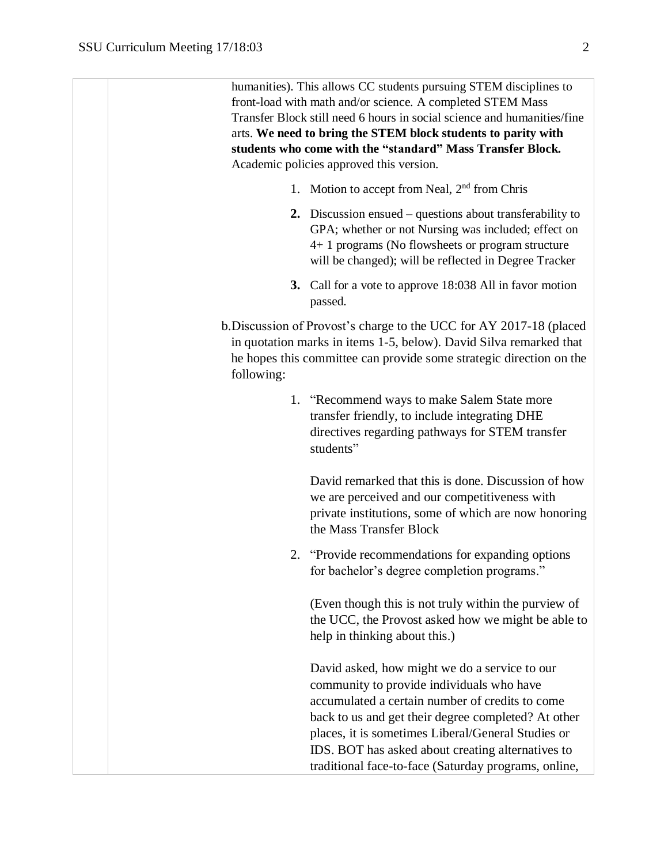humanities). This allows CC students pursuing STEM disciplines to front-load with math and/or science. A completed STEM Mass Transfer Block still need 6 hours in social science and humanities/fine arts. **We need to bring the STEM block students to parity with students who come with the "standard" Mass Transfer Block.**  Academic policies approved this version.

- 1. Motion to accept from Neal, 2<sup>nd</sup> from Chris
- **2.** Discussion ensued questions about transferability to GPA; whether or not Nursing was included; effect on 4+ 1 programs (No flowsheets or program structure will be changed); will be reflected in Degree Tracker
- **3.** Call for a vote to approve 18:038 All in favor motion passed.
- b.Discussion of Provost's charge to the UCC for AY 2017-18 (placed in quotation marks in items 1-5, below). David Silva remarked that he hopes this committee can provide some strategic direction on the following:
	- 1. "Recommend ways to make Salem State more transfer friendly, to include integrating DHE directives regarding pathways for STEM transfer students"

David remarked that this is done. Discussion of how we are perceived and our competitiveness with private institutions, some of which are now honoring the Mass Transfer Block

2. "Provide recommendations for expanding options for bachelor's degree completion programs."

(Even though this is not truly within the purview of the UCC, the Provost asked how we might be able to help in thinking about this.)

David asked, how might we do a service to our community to provide individuals who have accumulated a certain number of credits to come back to us and get their degree completed? At other places, it is sometimes Liberal/General Studies or IDS. BOT has asked about creating alternatives to traditional face-to-face (Saturday programs, online,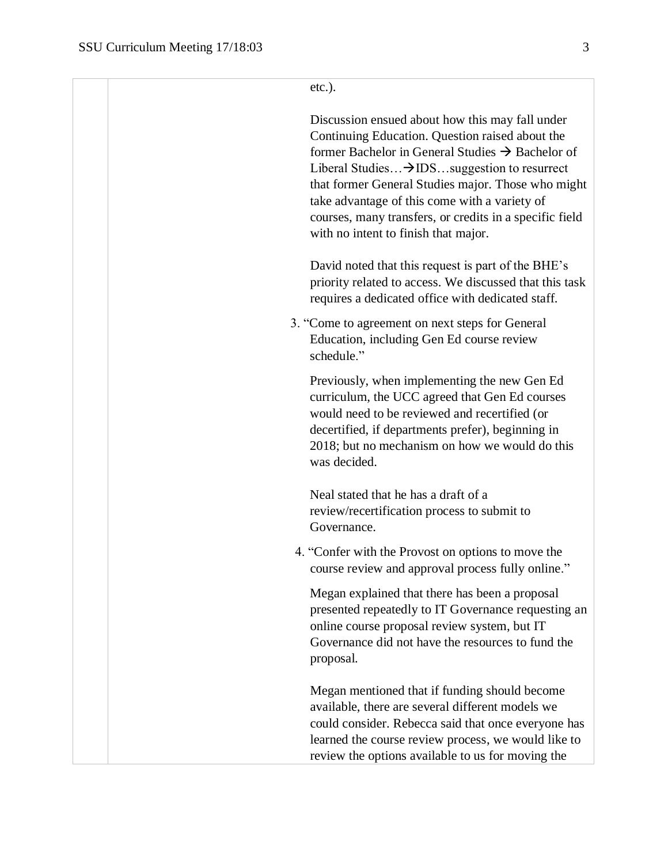```
etc.).
```
Discussion ensued about how this may fall under Continuing Education. Question raised about the former Bachelor in General Studies  $\rightarrow$  Bachelor of Liberal Studies...  $\rightarrow$  IDS... suggestion to resurrect that former General Studies major. Those who might take advantage of this come with a variety of courses, many transfers, or credits in a specific field with no intent to finish that major.

David noted that this request is part of the BHE's priority related to access. We discussed that this task requires a dedicated office with dedicated staff.

3. "Come to agreement on next steps for General Education, including Gen Ed course review schedule."

Previously, when implementing the new Gen Ed curriculum, the UCC agreed that Gen Ed courses would need to be reviewed and recertified (or decertified, if departments prefer), beginning in 2018; but no mechanism on how we would do this was decided.

Neal stated that he has a draft of a review/recertification process to submit to Governance.

4. "Confer with the Provost on options to move the course review and approval process fully online."

Megan explained that there has been a proposal presented repeatedly to IT Governance requesting an online course proposal review system, but IT Governance did not have the resources to fund the proposal.

Megan mentioned that if funding should become available, there are several different models we could consider. Rebecca said that once everyone has learned the course review process, we would like to review the options available to us for moving the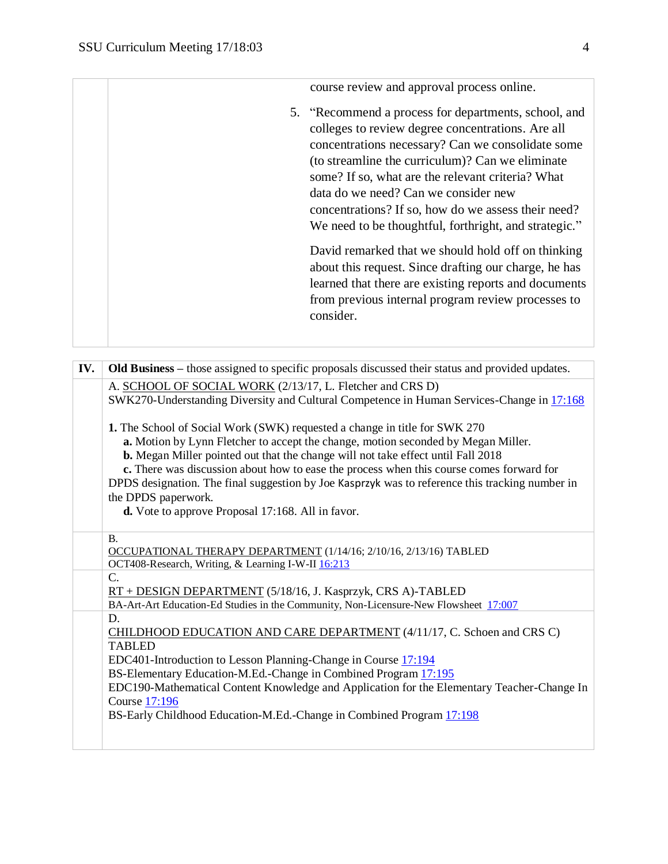course review and approval process online. 5. "Recommend a process for departments, school, and colleges to review degree concentrations. Are all concentrations necessary? Can we consolidate some (to streamline the curriculum)? Can we eliminate some? If so, what are the relevant criteria? What data do we need? Can we consider new concentrations? If so, how do we assess their need? We need to be thoughtful, forthright, and strategic." David remarked that we should hold off on thinking about this request. Since drafting our charge, he has learned that there are existing reports and documents from previous internal program review processes to consider.

| IV. | Old Business - those assigned to specific proposals discussed their status and provided updates.                                                                                                                                                                  |  |  |
|-----|-------------------------------------------------------------------------------------------------------------------------------------------------------------------------------------------------------------------------------------------------------------------|--|--|
|     | A. SCHOOL OF SOCIAL WORK (2/13/17, L. Fletcher and CRS D)                                                                                                                                                                                                         |  |  |
|     | SWK270-Understanding Diversity and Cultural Competence in Human Services-Change in 17:168                                                                                                                                                                         |  |  |
|     | 1. The School of Social Work (SWK) requested a change in title for SWK 270                                                                                                                                                                                        |  |  |
|     | a. Motion by Lynn Fletcher to accept the change, motion seconded by Megan Miller.<br>b. Megan Miller pointed out that the change will not take effect until Fall 2018<br>c. There was discussion about how to ease the process when this course comes forward for |  |  |
|     |                                                                                                                                                                                                                                                                   |  |  |
|     |                                                                                                                                                                                                                                                                   |  |  |
|     | DPDS designation. The final suggestion by Joe Kasprzyk was to reference this tracking number in<br>the DPDS paperwork.                                                                                                                                            |  |  |
|     | d. Vote to approve Proposal 17:168. All in favor.                                                                                                                                                                                                                 |  |  |
|     | <b>B.</b>                                                                                                                                                                                                                                                         |  |  |
|     | OCCUPATIONAL THERAPY DEPARTMENT (1/14/16; 2/10/16, 2/13/16) TABLED                                                                                                                                                                                                |  |  |
|     | OCT408-Research, Writing, & Learning I-W-II 16:213                                                                                                                                                                                                                |  |  |
|     | $\mathcal{C}$ .                                                                                                                                                                                                                                                   |  |  |
|     | RT + DESIGN DEPARTMENT (5/18/16, J. Kasprzyk, CRS A)-TABLED                                                                                                                                                                                                       |  |  |
|     | BA-Art-Art Education-Ed Studies in the Community, Non-Licensure-New Flowsheet 17:007                                                                                                                                                                              |  |  |
|     | D.                                                                                                                                                                                                                                                                |  |  |
|     | CHILDHOOD EDUCATION AND CARE DEPARTMENT (4/11/17, C. Schoen and CRS C)                                                                                                                                                                                            |  |  |
|     | <b>TABLED</b>                                                                                                                                                                                                                                                     |  |  |
|     | EDC401-Introduction to Lesson Planning-Change in Course 17:194                                                                                                                                                                                                    |  |  |
|     | BS-Elementary Education-M.Ed.-Change in Combined Program 17:195                                                                                                                                                                                                   |  |  |
|     | EDC190-Mathematical Content Knowledge and Application for the Elementary Teacher-Change In                                                                                                                                                                        |  |  |
|     | <b>Course 17:196</b>                                                                                                                                                                                                                                              |  |  |
|     | BS-Early Childhood Education-M.Ed.-Change in Combined Program 17:198                                                                                                                                                                                              |  |  |